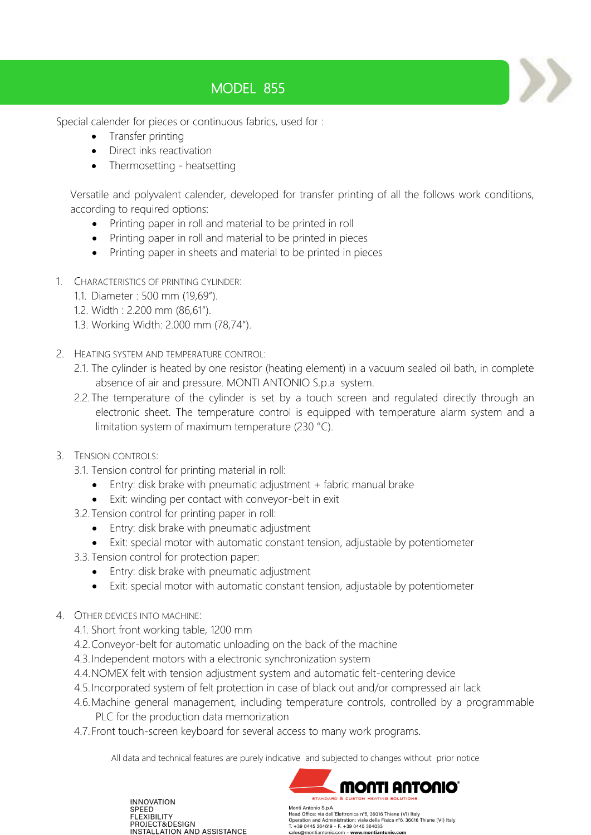## MODEL 855

Special calender for pieces or continuous fabrics, used for :

- Transfer printing
- Direct inks reactivation
- Thermosetting heatsetting

Versatile and polyvalent calender, developed for transfer printing of all the follows work conditions, according to required options:

- Printing paper in roll and material to be printed in roll
- Printing paper in roll and material to be printed in pieces
- Printing paper in sheets and material to be printed in pieces
- 1. CHARACTERISTICS OF PRINTING CYLINDER:
	- 1.1. Diameter : 500 mm (19,69").
	- 1.2. Width : 2.200 mm (86,61").
	- 1.3. Working Width: 2.000 mm (78,74").
- 2. HEATING SYSTEM AND TEMPERATURE CONTROL:
	- 2.1. The cylinder is heated by one resistor (heating element) in a vacuum sealed oil bath, in complete absence of air and pressure. MONTI ANTONIO S.p.a system.
	- 2.2. The temperature of the cylinder is set by a touch screen and regulated directly through an electronic sheet. The temperature control is equipped with temperature alarm system and a limitation system of maximum temperature (230 °C).
- 3. TENSION CONTROLS:
	- 3.1. Tension control for printing material in roll:
		- Entry: disk brake with pneumatic adjustment + fabric manual brake
		- Exit: winding per contact with conveyor-belt in exit
	- 3.2.Tension control for printing paper in roll:
		- Entry: disk brake with pneumatic adjustment
		- Exit: special motor with automatic constant tension, adjustable by potentiometer
	- 3.3.Tension control for protection paper:
		- Entry: disk brake with pneumatic adjustment
		- Exit: special motor with automatic constant tension, adjustable by potentiometer
- 4. OTHER DEVICES INTO MACHINE:
	- 4.1. Short front working table, 1200 mm
	- 4.2.Conveyor-belt for automatic unloading on the back of the machine
	- 4.3.Independent motors with a electronic synchronization system
	- 4.4.NOMEX felt with tension adjustment system and automatic felt-centering device
	- 4.5.Incorporated system of felt protection in case of black out and/or compressed air lack
	- 4.6.Machine general management, including temperature controls, controlled by a programmable PLC for the production data memorization
	- 4.7.Front touch-screen keyboard for several access to many work programs.

All data and technical features are purely indicative and subjected to changes without prior notice





Monti Antonio S.p.A wonn Amouro Jypon.<br>Head Office: via dell'Elettronica n°5, 36016 Thiene (VI) Italy<br>Operation and Administration: viale della Fisica n°6, 36016 Thiene (VI) Italy<br>T. +39 0445 364619 – F. +39 0445 364033 sales@montiantonio.com - www.montiantonio.com